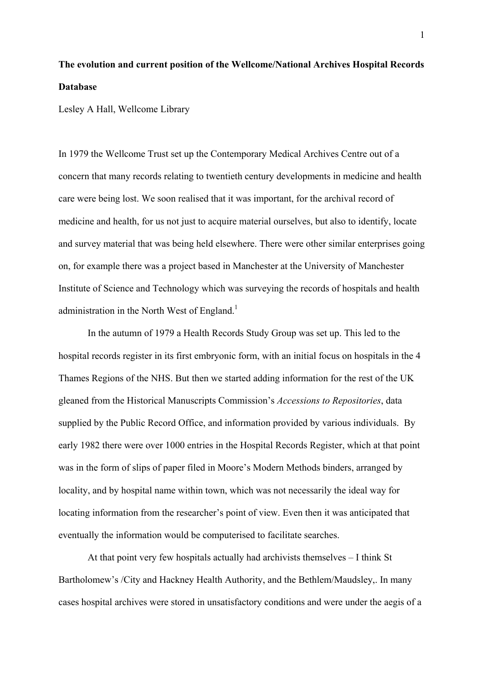## **The evolution and current position of the Wellcome/National Archives Hospital Records Database**

Lesley A Hall, Wellcome Library

In 1979 the Wellcome Trust set up the Contemporary Medical Archives Centre out of a concern that many records relating to twentieth century developments in medicine and health care were being lost. We soon realised that it was important, for the archival record of medicine and health, for us not just to acquire material ourselves, but also to identify, locate and survey material that was being held elsewhere. There were other similar enterprises going on, for example there was a project based in Manchester at the University of Manchester Institute of Science and Technology which was surveying the records of hospitals and health administration in the North West of England.<sup>1</sup>

In the autumn of 1979 a Health Records Study Group was set up. This led to the hospital records register in its first embryonic form, with an initial focus on hospitals in the 4 Thames Regions of the NHS. But then we started adding information for the rest of the UK gleaned from the Historical Manuscripts Commission's *Accessions to Repositories*, data supplied by the Public Record Office, and information provided by various individuals. By early 1982 there were over 1000 entries in the Hospital Records Register, which at that point was in the form of slips of paper filed in Moore's Modern Methods binders, arranged by locality, and by hospital name within town, which was not necessarily the ideal way for locating information from the researcher's point of view. Even then it was anticipated that eventually the information would be computerised to facilitate searches.

At that point very few hospitals actually had archivists themselves – I think St Bartholomew's /City and Hackney Health Authority, and the Bethlem/Maudsley,. In many cases hospital archives were stored in unsatisfactory conditions and were under the aegis of a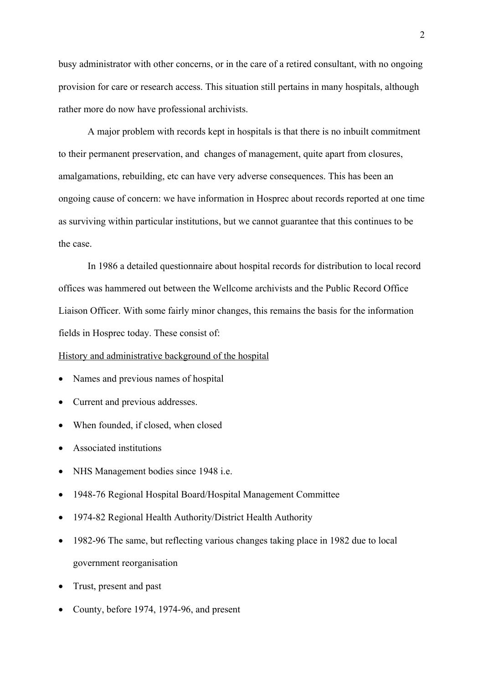busy administrator with other concerns, or in the care of a retired consultant, with no ongoing provision for care or research access. This situation still pertains in many hospitals, although rather more do now have professional archivists.

A major problem with records kept in hospitals is that there is no inbuilt commitment to their permanent preservation, and changes of management, quite apart from closures, amalgamations, rebuilding, etc can have very adverse consequences. This has been an ongoing cause of concern: we have information in Hosprec about records reported at one time as surviving within particular institutions, but we cannot guarantee that this continues to be the case.

 In 1986 a detailed questionnaire about hospital records for distribution to local record offices was hammered out between the Wellcome archivists and the Public Record Office Liaison Officer. With some fairly minor changes, this remains the basis for the information fields in Hosprec today. These consist of:

## History and administrative background of the hospital

- Names and previous names of hospital
- Current and previous addresses.
- When founded, if closed, when closed
- Associated institutions
- NHS Management bodies since 1948 i.e.
- 1948-76 Regional Hospital Board/Hospital Management Committee
- 1974-82 Regional Health Authority/District Health Authority
- 1982-96 The same, but reflecting various changes taking place in 1982 due to local government reorganisation
- Trust, present and past
- County, before 1974, 1974-96, and present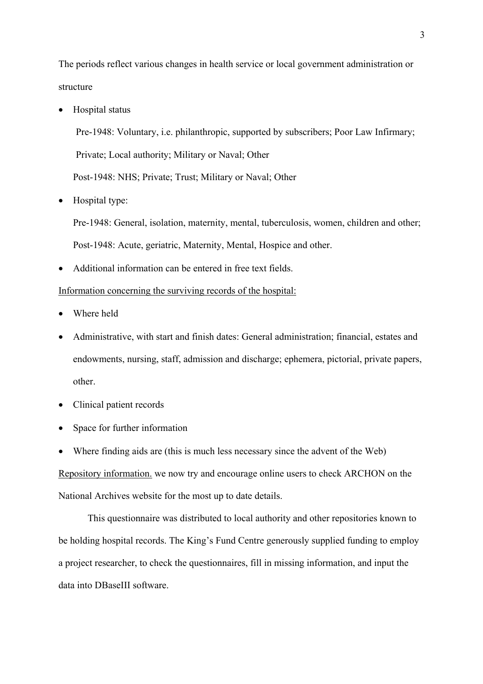The periods reflect various changes in health service or local government administration or structure

• Hospital status

Pre-1948: Voluntary, i.e. philanthropic, supported by subscribers; Poor Law Infirmary; Private; Local authority; Military or Naval; Other Post-1948: NHS; Private; Trust; Military or Naval; Other

• Hospital type:

Pre-1948: General, isolation, maternity, mental, tuberculosis, women, children and other; Post-1948: Acute, geriatric, Maternity, Mental, Hospice and other.

• Additional information can be entered in free text fields.

## Information concerning the surviving records of the hospital:

- Where held
- Administrative, with start and finish dates: General administration; financial, estates and endowments, nursing, staff, admission and discharge; ephemera, pictorial, private papers, other.
- Clinical patient records
- Space for further information
- Where finding aids are (this is much less necessary since the advent of the Web)

Repository information. we now try and encourage online users to check ARCHON on the National Archives website for the most up to date details.

This questionnaire was distributed to local authority and other repositories known to be holding hospital records. The King's Fund Centre generously supplied funding to employ a project researcher, to check the questionnaires, fill in missing information, and input the data into DBaseIII software.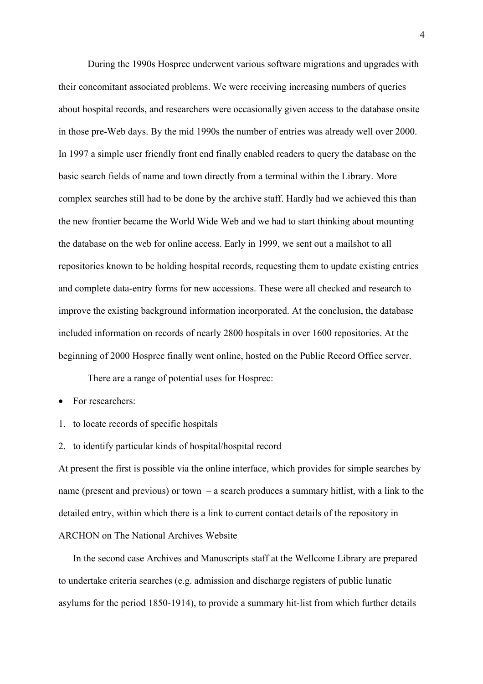During the 1990s Hosprec underwent various software migrations and upgrades with their concomitant associated problems. We were receiving increasing numbers of queries about hospital records, and researchers were occasionally given access to the database onsite in those pre-Web days. By the mid 1990s the number of entries was already well over 2000. In 1997 a simple user friendly front end finally enabled readers to query the database on the basic search fields of name and town directly from a terminal within the Library. More complex searches still had to be done by the archive staff. Hardly had we achieved this than the new frontier became the World Wide Web and we had to start thinking about mounting the database on the web for online access. Early in 1999, we sent out a mailshot to all repositories known to be holding hospital records, requesting them to update existing entries and complete data-entry forms for new accessions. These were all checked and research to improve the existing background information incorporated. At the conclusion, the database included information on records of nearly 2800 hospitals in over 1600 repositories. At the beginning of 2000 Hosprec finally went online, hosted on the Public Record Office server.

There are a range of potential uses for Hosprec:

• For researchers:

- 1. to locate records of specific hospitals
- 2. to identify particular kinds of hospital/hospital record

At present the first is possible via the online interface, which provides for simple searches by name (present and previous) or town  $-$  a search produces a summary hitlist, with a link to the detailed entry, within which there is a link to current contact details of the repository in ARCHON on The National Archives Website

In the second case Archives and Manuscripts staff at the Wellcome Library are prepared to undertake criteria searches (e.g. admission and discharge registers of public lunatic asylums for the period 1850-1914), to provide a summary hit-list from which further details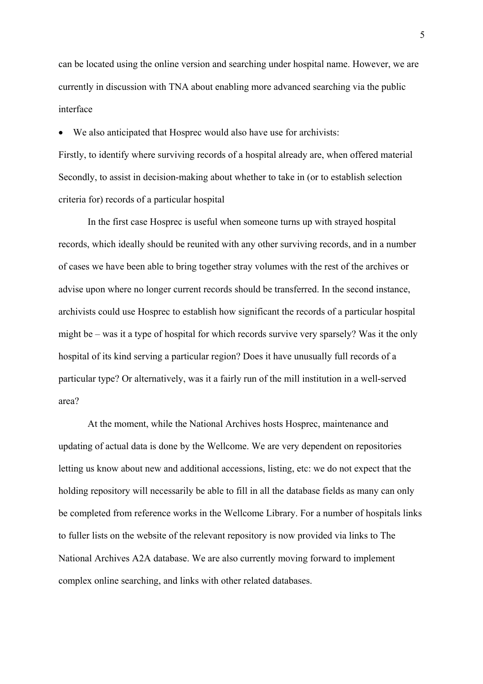can be located using the online version and searching under hospital name. However, we are currently in discussion with TNA about enabling more advanced searching via the public interface

• We also anticipated that Hosprec would also have use for archivists:

Firstly, to identify where surviving records of a hospital already are, when offered material Secondly, to assist in decision-making about whether to take in (or to establish selection criteria for) records of a particular hospital

In the first case Hosprec is useful when someone turns up with strayed hospital records, which ideally should be reunited with any other surviving records, and in a number of cases we have been able to bring together stray volumes with the rest of the archives or advise upon where no longer current records should be transferred. In the second instance, archivists could use Hosprec to establish how significant the records of a particular hospital might be – was it a type of hospital for which records survive very sparsely? Was it the only hospital of its kind serving a particular region? Does it have unusually full records of a particular type? Or alternatively, was it a fairly run of the mill institution in a well-served area?

At the moment, while the National Archives hosts Hosprec, maintenance and updating of actual data is done by the Wellcome. We are very dependent on repositories letting us know about new and additional accessions, listing, etc: we do not expect that the holding repository will necessarily be able to fill in all the database fields as many can only be completed from reference works in the Wellcome Library. For a number of hospitals links to fuller lists on the website of the relevant repository is now provided via links to The National Archives A2A database. We are also currently moving forward to implement complex online searching, and links with other related databases.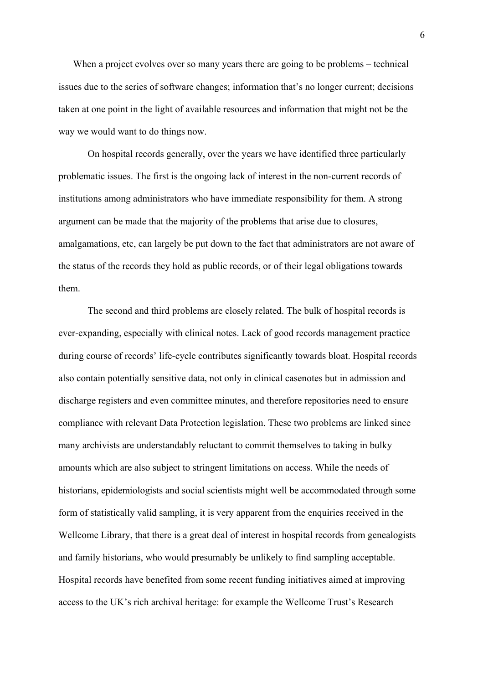When a project evolves over so many years there are going to be problems – technical issues due to the series of software changes; information that's no longer current; decisions taken at one point in the light of available resources and information that might not be the way we would want to do things now.

On hospital records generally, over the years we have identified three particularly problematic issues. The first is the ongoing lack of interest in the non-current records of institutions among administrators who have immediate responsibility for them. A strong argument can be made that the majority of the problems that arise due to closures, amalgamations, etc, can largely be put down to the fact that administrators are not aware of the status of the records they hold as public records, or of their legal obligations towards them.

The second and third problems are closely related. The bulk of hospital records is ever-expanding, especially with clinical notes. Lack of good records management practice during course of records' life-cycle contributes significantly towards bloat. Hospital records also contain potentially sensitive data, not only in clinical casenotes but in admission and discharge registers and even committee minutes, and therefore repositories need to ensure compliance with relevant Data Protection legislation. These two problems are linked since many archivists are understandably reluctant to commit themselves to taking in bulky amounts which are also subject to stringent limitations on access. While the needs of historians, epidemiologists and social scientists might well be accommodated through some form of statistically valid sampling, it is very apparent from the enquiries received in the Wellcome Library, that there is a great deal of interest in hospital records from genealogists and family historians, who would presumably be unlikely to find sampling acceptable. Hospital records have benefited from some recent funding initiatives aimed at improving access to the UK's rich archival heritage: for example the Wellcome Trust's Research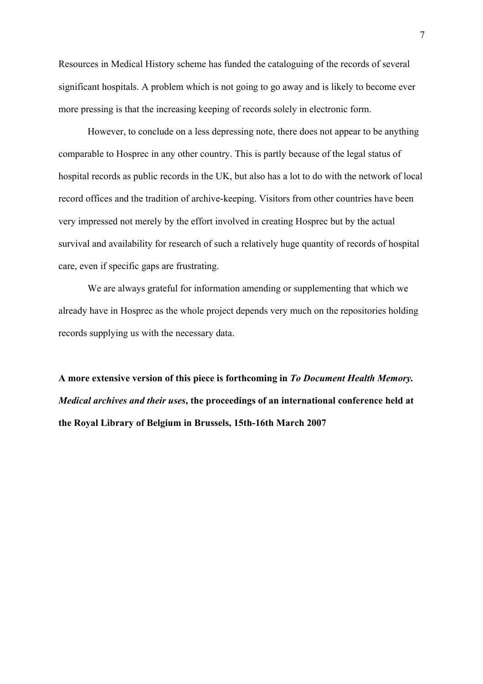Resources in Medical History scheme has funded the cataloguing of the records of several significant hospitals. A problem which is not going to go away and is likely to become ever more pressing is that the increasing keeping of records solely in electronic form.

However, to conclude on a less depressing note, there does not appear to be anything comparable to Hosprec in any other country. This is partly because of the legal status of hospital records as public records in the UK, but also has a lot to do with the network of local record offices and the tradition of archive-keeping. Visitors from other countries have been very impressed not merely by the effort involved in creating Hosprec but by the actual survival and availability for research of such a relatively huge quantity of records of hospital care, even if specific gaps are frustrating.

We are always grateful for information amending or supplementing that which we already have in Hosprec as the whole project depends very much on the repositories holding records supplying us with the necessary data.

**A more extensive version of this piece is forthcoming in** *To Document Health Memory. Medical archives and their uses***, the proceedings of an international conference held at the Royal Library of Belgium in Brussels, 15th-16th March 2007**